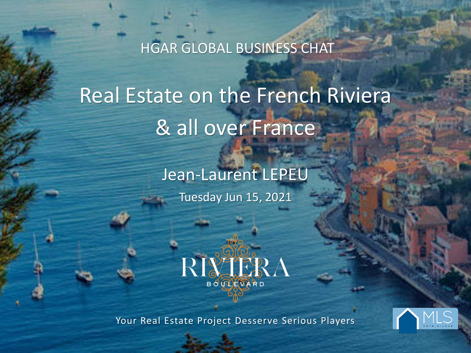HGAR GLOBAL BUSINESS CHAT

Real Estate on the French Riviera & all over France

> Jean-Laurent LEPEU Tuesday Jun 15, 2021



Your Real Estate Project Desserve Serious Players

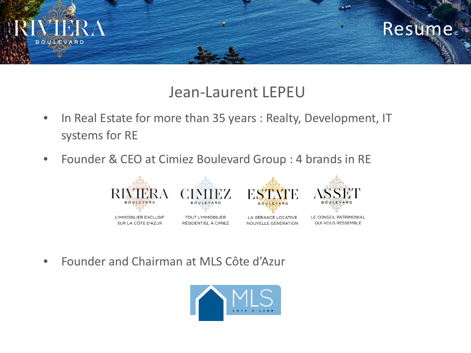

#### Jean-Laurent LEPEU

- In Real Estate for more than 35 years : Realty, Development, IT systems for RE
- Founder & CEO at Cimiez Boulevard Group : 4 brands in RE



• Founder and Chairman at MLS Côte d'Azur

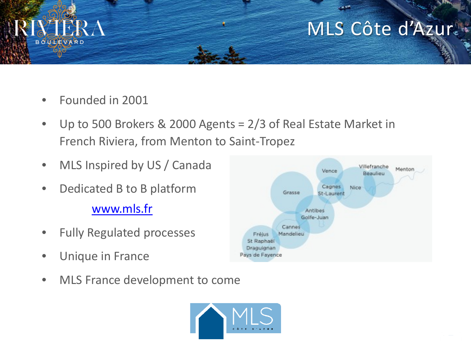

# MLS Côte d'Azur.

- Founded in 2001
- Up to 500 Brokers & 2000 Agents = 2/3 of Real Estate Market in French Riviera, from Menton to Saint-Tropez
- MLS Inspired by US / Canada
- Dedicated B to B platform [www.mls.fr](http://www.mls.fr/)
- Fully Regulated processes
- Unique in France
- MLS France development to come



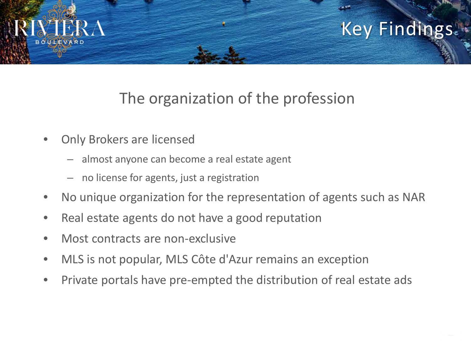

#### The organization of the profession

- Only Brokers are licensed
	- almost anyone can become a real estate agent
	- no license for agents, just a registration
- No unique organization for the representation of agents such as NAR
- Real estate agents do not have a good reputation
- Most contracts are non-exclusive
- MLS is not popular, MLS Côte d'Azur remains an exception
- Private portals have pre-empted the distribution of real estate ads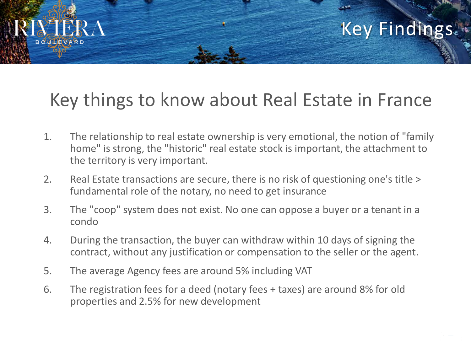# Key things to know about Real Estate in France

- 1. The relationship to real estate ownership is very emotional, the notion of "family home" is strong, the "historic" real estate stock is important, the attachment to the territory is very important.
- 2. Real Estate transactions are secure, there is no risk of questioning one's title > fundamental role of the notary, no need to get insurance
- 3. The "coop" system does not exist. No one can oppose a buyer or a tenant in a condo
- 4. During the transaction, the buyer can withdraw within 10 days of signing the contract, without any justification or compensation to the seller or the agent.
- 5. The average Agency fees are around 5% including VAT

**BOULEVARD** 

6. The registration fees for a deed (notary fees + taxes) are around 8% for old properties and 2.5% for new development

**Key Findings**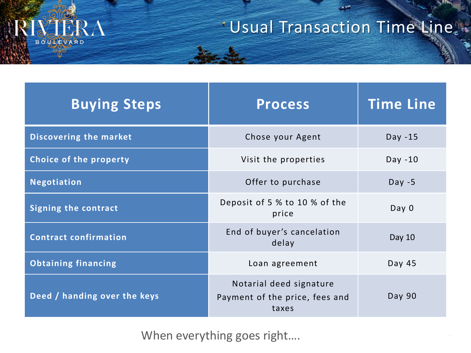

# Usual Transaction Time Line.

 $-57$ 

| <b>Buying Steps</b>           | <b>Process</b>                                                     | <b>Time Line</b> |
|-------------------------------|--------------------------------------------------------------------|------------------|
| <b>Discovering the market</b> | Chose your Agent                                                   | $Day -15$        |
| Choice of the property        | Visit the properties                                               | $Day -10$        |
| <b>Negotiation</b>            | Offer to purchase                                                  | Day $-5$         |
| <b>Signing the contract</b>   | Deposit of 5 % to 10 % of the<br>price                             | Day <sub>0</sub> |
| <b>Contract confirmation</b>  | End of buyer's cancelation<br>delay                                | Day 10           |
| <b>Obtaining financing</b>    | Loan agreement                                                     | Day 45           |
| Deed / handing over the keys  | Notarial deed signature<br>Payment of the price, fees and<br>taxes | Day 90           |

When everything goes right....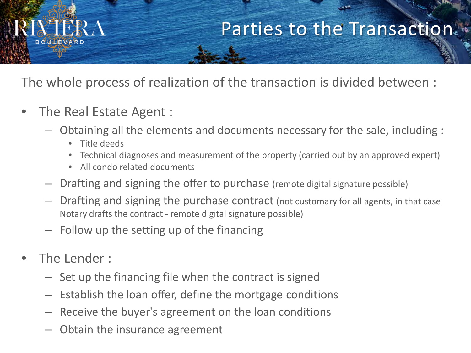# Parties to the Transaction.

The whole process of realization of the transaction is divided between :

- The Real Estate Agent :
	- Obtaining all the elements and documents necessary for the sale, including :
		- Title deeds
		- Technical diagnoses and measurement of the property (carried out by an approved expert)
		- All condo related documents
	- Drafting and signing the offer to purchase (remote digital signature possible)
	- Drafting and signing the purchase contract (not customary for all agents, in that case Notary drafts the contract - remote digital signature possible)
	- Follow up the setting up of the financing
- The Lender:
	- Set up the financing file when the contract is signed
	- Establish the loan offer, define the mortgage conditions
	- Receive the buyer's agreement on the loan conditions
	- Obtain the insurance agreement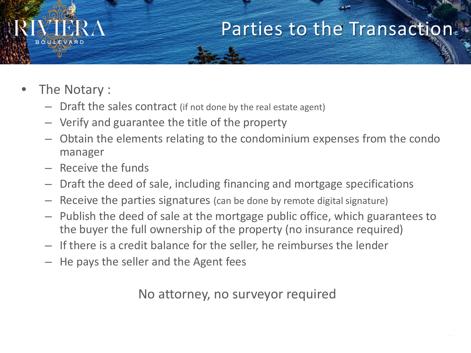

# Parties to the Transaction.

- The Notary :
	- Draft the sales contract (if not done by the real estate agent)
	- Verify and guarantee the title of the property
	- Obtain the elements relating to the condominium expenses from the condo manager
	- Receive the funds
	- Draft the deed of sale, including financing and mortgage specifications
	- Receive the parties signatures (can be done by remote digital signature)
	- Publish the deed of sale at the mortgage public office, which guarantees to the buyer the full ownership of the property (no insurance required)
	- If there is a credit balance for the seller, he reimburses the lender
	- He pays the seller and the Agent fees

No attorney, no surveyor required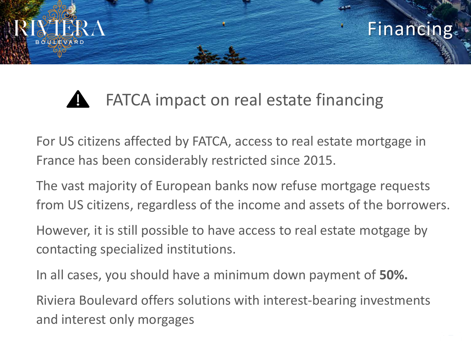

# FATCA impact on real estate financing

For US citizens affected by FATCA, access to real estate mortgage in France has been considerably restricted since 2015.

The vast majority of European banks now refuse mortgage requests from US citizens, regardless of the income and assets of the borrowers.

However, it is still possible to have access to real estate motgage by contacting specialized institutions.

In all cases, you should have a minimum down payment of **50%.**

Riviera Boulevard offers solutions with interest-bearing investments and interest only morgages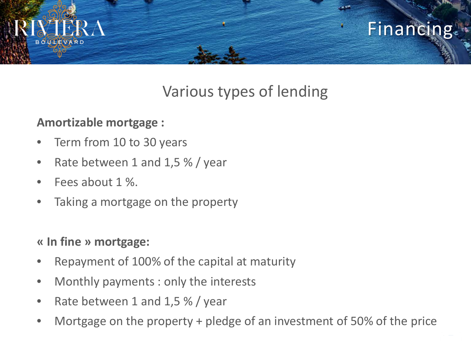

### Various types of lending

#### **Amortizable mortgage :**

- Term from 10 to 30 years
- Rate between 1 and 1,5 % / year
- Fees about 1 %.
- Taking a mortgage on the property

#### **« In fine » mortgage:**

- Repayment of 100% of the capital at maturity
- Monthly payments : only the interests
- Rate between 1 and 1,5 % / year
- Mortgage on the property + pledge of an investment of 50% of the price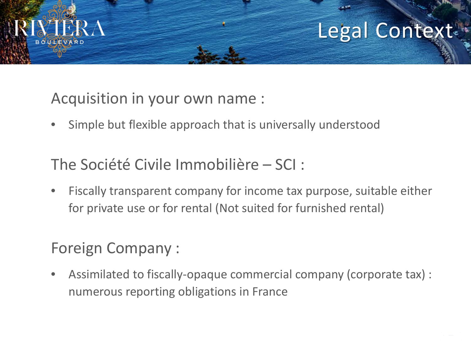

# Legal Contex<sup>-</sup>

#### Acquisition in your own name :

• Simple but flexible approach that is universally understood

#### The Société Civile Immobilière – SCI :

• Fiscally transparent company for income tax purpose, suitable either for private use or for rental (Not suited for furnished rental)

### Foreign Company :

• Assimilated to fiscally-opaque commercial company (corporate tax) : numerous reporting obligations in France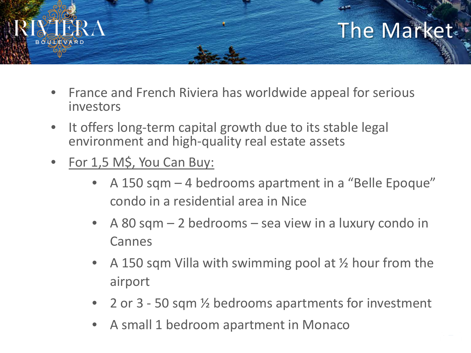

- France and French Riviera has worldwide appeal for serious investors
- It offers long-term capital growth due to its stable legal environment and high-quality real estate assets
- For 1,5 M\$, You Can Buy:
	- A 150 sqm 4 bedrooms apartment in a "Belle Epoque" condo in a residential area in Nice
	- A 80 sqm 2 bedrooms sea view in a luxury condo in Cannes
	- A 150 sqm Villa with swimming pool at  $\frac{1}{2}$  hour from the airport
	- 2 or 3 50 sqm ½ bedrooms apartments for investment
	- A small 1 bedroom apartment in Monaco